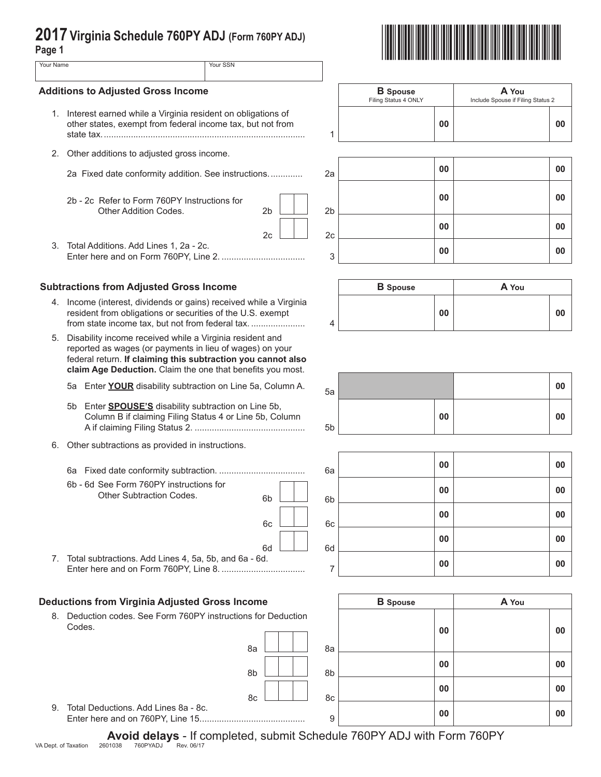| 2017 Virginia Schedule 760PY ADJ (Form 760PY ADJ)<br>Page 1 |                                                                                                                                                                                                                                                       |                |                                         |                                            |                |
|-------------------------------------------------------------|-------------------------------------------------------------------------------------------------------------------------------------------------------------------------------------------------------------------------------------------------------|----------------|-----------------------------------------|--------------------------------------------|----------------|
| Your Name                                                   |                                                                                                                                                                                                                                                       | Your SSN       |                                         |                                            |                |
| <b>Additions to Adjusted Gross Income</b>                   |                                                                                                                                                                                                                                                       |                | <b>B</b> Spouse<br>Filing Status 4 ONLY | A You<br>Include Spouse if Filing Status 2 |                |
|                                                             | 1. Interest earned while a Virginia resident on obligations of<br>other states, exempt from federal income tax, but not from                                                                                                                          |                | 1                                       | 00                                         | 00             |
|                                                             | 2. Other additions to adjusted gross income.                                                                                                                                                                                                          |                |                                         |                                            |                |
|                                                             | 2a Fixed date conformity addition. See instructions                                                                                                                                                                                                   |                | 2a                                      | 00                                         | 00             |
|                                                             | 2b - 2c Refer to Form 760PY Instructions for<br>Other Addition Codes.                                                                                                                                                                                 | 2 <sub>b</sub> | 2 <sub>b</sub>                          | 00                                         | 0 <sub>0</sub> |
|                                                             |                                                                                                                                                                                                                                                       | 2c             | 2c                                      | 00                                         | 0 <sub>0</sub> |
|                                                             | 3. Total Additions. Add Lines 1, 2a - 2c.                                                                                                                                                                                                             |                | 3                                       | 00                                         | 00             |
|                                                             | <b>Subtractions from Adjusted Gross Income</b>                                                                                                                                                                                                        |                |                                         | <b>B</b> Spouse                            | A You          |
|                                                             | 4. Income (interest, dividends or gains) received while a Virginia<br>resident from obligations or securities of the U.S. exempt<br>from state income tax, but not from federal tax                                                                   |                | 4                                       | 00                                         | 00             |
|                                                             | 5. Disability income received while a Virginia resident and<br>reported as wages (or payments in lieu of wages) on your<br>federal return. If claiming this subtraction you cannot also<br>claim Age Deduction. Claim the one that benefits you most. |                |                                         |                                            |                |
|                                                             | 5a Enter YOUR disability subtraction on Line 5a, Column A.                                                                                                                                                                                            |                | 5a                                      |                                            | 0 <sub>0</sub> |
| 5b                                                          | Enter <b>SPOUSE'S</b> disability subtraction on Line 5b,<br>Column B if claiming Filing Status 4 or Line 5b, Column                                                                                                                                   |                | 5 <sub>b</sub>                          | 00                                         | 0 <sub>0</sub> |
| 6.                                                          | Other subtractions as provided in instructions.                                                                                                                                                                                                       |                |                                         |                                            |                |
|                                                             |                                                                                                                                                                                                                                                       |                | 6а                                      | 00                                         | 0 <sub>0</sub> |
|                                                             | 6b - 6d See Form 760PY instructions for<br><b>Other Subtraction Codes.</b>                                                                                                                                                                            | 6 <sub>b</sub> | 6 <sub>b</sub>                          | 00                                         | 00             |
|                                                             |                                                                                                                                                                                                                                                       | 6c             | 6c                                      | 00                                         | 00             |
|                                                             |                                                                                                                                                                                                                                                       |                |                                         | 00                                         | 0 <sub>0</sub> |
|                                                             | 7. Total subtractions. Add Lines 4, 5a, 5b, and 6a - 6d.                                                                                                                                                                                              | 6d             | 6d<br>7                                 | 00                                         | 00             |
|                                                             | <b>Deductions from Virginia Adjusted Gross Income</b>                                                                                                                                                                                                 |                |                                         | <b>B</b> Spouse                            | A You          |
|                                                             | 8. Deduction codes. See Form 760PY instructions for Deduction<br>Codes.                                                                                                                                                                               |                |                                         | 00                                         | 00             |
|                                                             |                                                                                                                                                                                                                                                       | 8a             | 8a                                      |                                            |                |

8b 8b  $8c$   $\begin{array}{|c|c|c|c|c|c|c|c|} \hline & & & 8c \end{array}$ **00 00** 9. Total Deductions. Add Lines 8a - 8c. Enter here and on 760PY, Line 15........................................... <sup>9</sup> **<sup>00</sup> <sup>00</sup>**

**Avoid delays** - If completed, submit Schedule 760PY ADJ with Form 760PY<br>VA Dept. of Taxation 2601038 760PYADJ Rev. 06/17

**00 00**